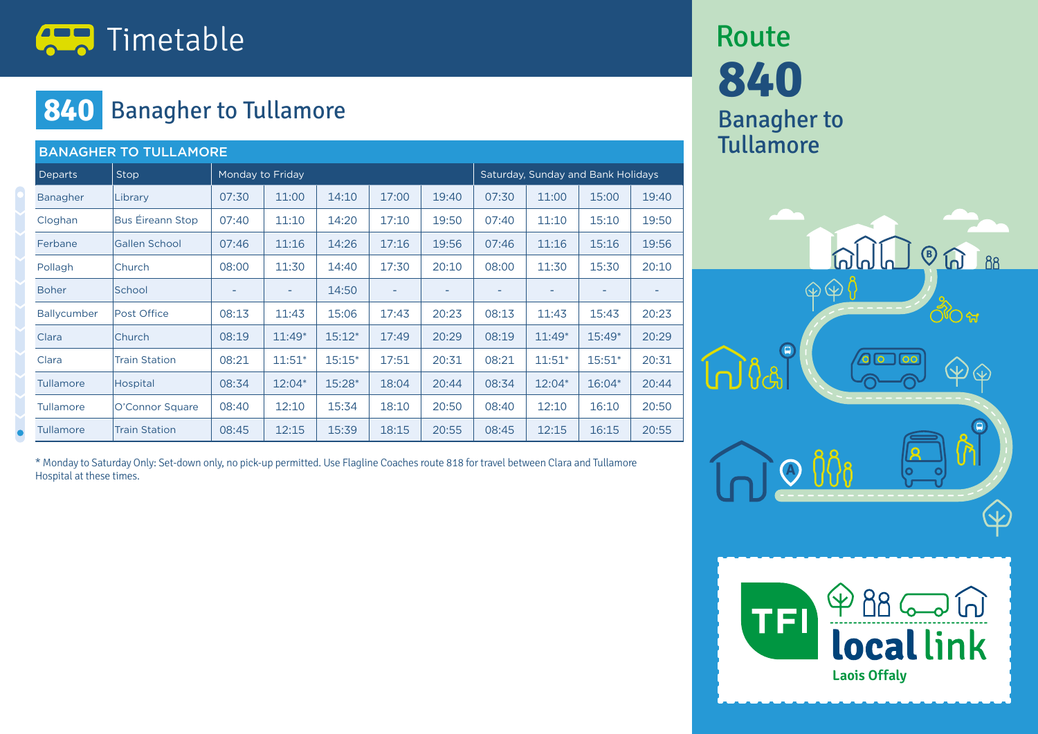

#### **840** Banagher to Tullamore

| <b>BANAGHER TO TULLAMORE</b> |                         |                  |          |          |       |                                    |                          |          |          |       |  |
|------------------------------|-------------------------|------------------|----------|----------|-------|------------------------------------|--------------------------|----------|----------|-------|--|
| <b>Departs</b>               | Stop                    | Monday to Friday |          |          |       | Saturday, Sunday and Bank Holidays |                          |          |          |       |  |
| Banagher                     | Library                 | 07:30            | 11:00    | 14:10    | 17:00 | 19:40                              | 07:30                    | 11:00    | 15:00    | 19:40 |  |
| Cloghan                      | <b>Bus Éireann Stop</b> | 07:40            | 11:10    | 14:20    | 17:10 | 19:50                              | 07:40                    | 11:10    | 15:10    | 19:50 |  |
| Ferbane                      | <b>Gallen School</b>    | 07:46            | 11:16    | 14:26    | 17:16 | 19:56                              | 07:46                    | 11:16    | 15:16    | 19:56 |  |
| Pollagh                      | Church                  | 08:00            | 11:30    | 14:40    | 17:30 | 20:10                              | 08:00                    | 11:30    | 15:30    | 20:10 |  |
| <b>Boher</b>                 | School                  | -                | ۰        | 14:50    | ٠     | ٠                                  | $\overline{\phantom{0}}$ | ۰        | -        | ۰     |  |
| Ballycumber                  | Post Office             | 08:13            | 11:43    | 15:06    | 17:43 | 20:23                              | 08:13                    | 11:43    | 15:43    | 20:23 |  |
| Clara                        | Church                  | 08:19            | $11:49*$ | $15:12*$ | 17:49 | 20:29                              | 08:19                    | $11:49*$ | $15:49*$ | 20:29 |  |
| Clara                        | <b>Train Station</b>    | 08:21            | $11:51*$ | $15:15*$ | 17:51 | 20:31                              | 08:21                    | $11:51*$ | $15:51*$ | 20:31 |  |
| Tullamore                    | Hospital                | 08:34            | $12:04*$ | $15:28*$ | 18:04 | 20:44                              | 08:34                    | $12:04*$ | $16:04*$ | 20:44 |  |
| <b>Tullamore</b>             | O'Connor Square         | 08:40            | 12:10    | 15:34    | 18:10 | 20:50                              | 08:40                    | 12:10    | 16:10    | 20:50 |  |
| <b>Tullamore</b>             | <b>Train Station</b>    | 08:45            | 12:15    | 15:39    | 18:15 | 20:55                              | 08:45                    | 12:15    | 16:15    | 20:55 |  |

\* Monday to Saturday Only: Set-down only, no pick-up permitted. Use Flagline Coaches route 818 for travel between Clara and Tullamore Hospital at these times.

## **840** Banagher to **Tullamore** Route



**Laois Offaly** 

**local link**